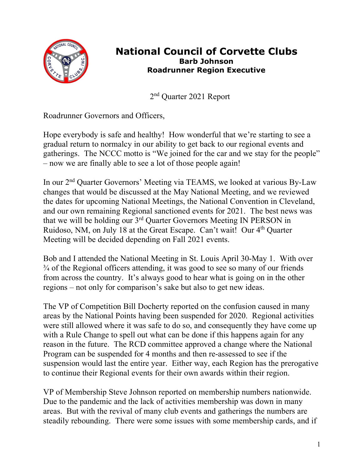

## **National Council of Corvette Clubs Barb Johnson Roadrunner Region Executive**

2nd Quarter 2021 Report

Roadrunner Governors and Officers,

Hope everybody is safe and healthy! How wonderful that we're starting to see a gradual return to normalcy in our ability to get back to our regional events and gatherings. The NCCC motto is "We joined for the car and we stay for the people" – now we are finally able to see a lot of those people again!

In our 2nd Quarter Governors' Meeting via TEAMS, we looked at various By-Law changes that would be discussed at the May National Meeting, and we reviewed the dates for upcoming National Meetings, the National Convention in Cleveland, and our own remaining Regional sanctioned events for 2021. The best news was that we will be holding our 3rd Quarter Governors Meeting IN PERSON in Ruidoso, NM, on July 18 at the Great Escape. Can't wait! Our 4<sup>th</sup> Quarter Meeting will be decided depending on Fall 2021 events.

Bob and I attended the National Meeting in St. Louis April 30-May 1. With over ¾ of the Regional officers attending, it was good to see so many of our friends from across the country. It's always good to hear what is going on in the other regions – not only for comparison's sake but also to get new ideas.

The VP of Competition Bill Docherty reported on the confusion caused in many areas by the National Points having been suspended for 2020. Regional activities were still allowed where it was safe to do so, and consequently they have come up with a Rule Change to spell out what can be done if this happens again for any reason in the future. The RCD committee approved a change where the National Program can be suspended for 4 months and then re-assessed to see if the suspension would last the entire year. Either way, each Region has the prerogative to continue their Regional events for their own awards within their region.

VP of Membership Steve Johnson reported on membership numbers nationwide. Due to the pandemic and the lack of activities membership was down in many areas. But with the revival of many club events and gatherings the numbers are steadily rebounding. There were some issues with some membership cards, and if